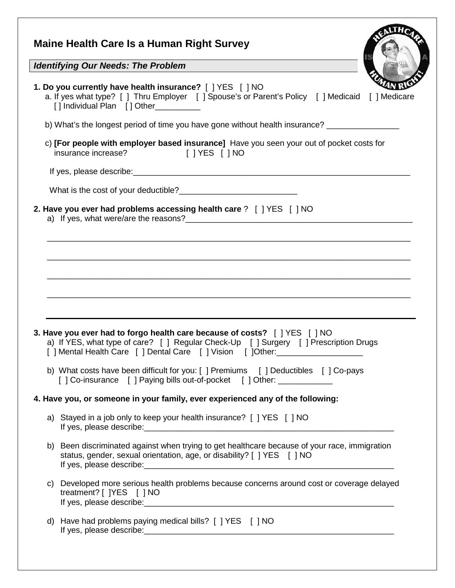| <b>Maine Health Care Is a Human Right Survey</b>                                                                                                                                                                                 |
|----------------------------------------------------------------------------------------------------------------------------------------------------------------------------------------------------------------------------------|
| Identifying Our Needs: The Problem                                                                                                                                                                                               |
| 1. Do you currently have health insurance? [ ] YES [ ] NO<br>a. If yes what type? [ ] Thru Employer [ ] Spouse's or Parent's Policy [ ] Medicaid<br>[ ] Medicare<br>[] Individual Plan [] Other_________                         |
| b) What's the longest period of time you have gone without health insurance? ______________________                                                                                                                              |
| c) [For people with employer based insurance] Have you seen your out of pocket costs for<br>insurance increase? [ ] YES [ ] NO                                                                                                   |
|                                                                                                                                                                                                                                  |
|                                                                                                                                                                                                                                  |
| 2. Have you ever had problems accessing health care ? [ ] YES [ ] NO                                                                                                                                                             |
|                                                                                                                                                                                                                                  |
| 3. Have you ever had to forgo health care because of costs? [ ] YES [ ] NO<br>a) If YES, what type of care? [ ] Regular Check-Up [ ] Surgery [ ] Prescription Drugs<br>] Mental Health Care [ ] Dental Care [ ] Vision [ ]Other: |
| b) What costs have been difficult for you: [ ] Premiums [ ] Deductibles [ ] Co-pays<br>[] Co-insurance [] Paying bills out-of-pocket [] Other: ____________                                                                      |
| 4. Have you, or someone in your family, ever experienced any of the following:                                                                                                                                                   |
| a) Stayed in a job only to keep your health insurance? [ ] YES [ ] NO                                                                                                                                                            |
| Been discriminated against when trying to get healthcare because of your race, immigration<br>b)<br>status, gender, sexual orientation, age, or disability? [ ] YES [ ] NO                                                       |
| Developed more serious health problems because concerns around cost or coverage delayed<br>C)<br>treatment? [ ]YES [ ] NO                                                                                                        |
| Have had problems paying medical bills? [ ] YES [ ] NO<br>d)                                                                                                                                                                     |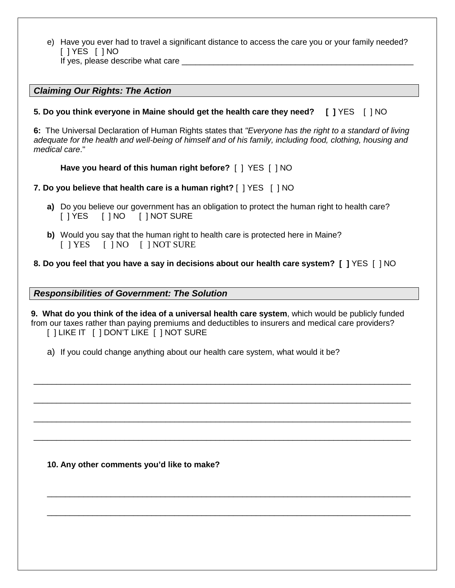e) Have you ever had to travel a significant distance to access the care you or your family needed? [ ] YES [ ] NO

If yes, please describe what care  $\_$ 

# *Claiming Our Rights: The Action*

#### **5. Do you think everyone in Maine should get the health care they need? [ ]** YES [ ] NO

**6:** The Universal Declaration of Human Rights states that *"Everyone has the right to a standard of living adequate for the health and well-being of himself and of his family, including food, clothing, housing and medical care*."

#### **Have you heard of this human right before?** [ ] YES [ ] NO

# **7. Do you believe that health care is a human right?** [ ] YES [ ] NO

- **a)** Do you believe our government has an obligation to protect the human right to health care? [ ] YES [ ] NO [ ] NOT SURE
- **b)** Would you say that the human right to health care is protected here in Maine? [ ] YES [ ] NO [ ] NOT SURE

# **8. Do you feel that you have a say in decisions about our health care system? [ ]** YES [ ] NO

*Responsibilities of Government: The Solution*

**9. What do you think of the idea of a universal health care system**, which would be publicly funded from our taxes rather than paying premiums and deductibles to insurers and medical care providers? [ ] LIKE IT [ ] DON'T LIKE [ ] NOT SURE

\_\_\_\_\_\_\_\_\_\_\_\_\_\_\_\_\_\_\_\_\_\_\_\_\_\_\_\_\_\_\_\_\_\_\_\_\_\_\_\_\_\_\_\_\_\_\_\_\_\_\_\_\_\_\_\_\_\_\_\_\_\_\_\_\_\_\_\_\_\_\_\_\_\_\_\_\_\_\_\_\_\_\_

\_\_\_\_\_\_\_\_\_\_\_\_\_\_\_\_\_\_\_\_\_\_\_\_\_\_\_\_\_\_\_\_\_\_\_\_\_\_\_\_\_\_\_\_\_\_\_\_\_\_\_\_\_\_\_\_\_\_\_\_\_\_\_\_\_\_\_\_\_\_\_\_\_\_\_\_\_\_\_\_\_\_\_

\_\_\_\_\_\_\_\_\_\_\_\_\_\_\_\_\_\_\_\_\_\_\_\_\_\_\_\_\_\_\_\_\_\_\_\_\_\_\_\_\_\_\_\_\_\_\_\_\_\_\_\_\_\_\_\_\_\_\_\_\_\_\_\_\_\_\_\_\_\_\_\_\_\_\_\_\_\_\_\_\_\_\_

\_\_\_\_\_\_\_\_\_\_\_\_\_\_\_\_\_\_\_\_\_\_\_\_\_\_\_\_\_\_\_\_\_\_\_\_\_\_\_\_\_\_\_\_\_\_\_\_\_\_\_\_\_\_\_\_\_\_\_\_\_\_\_\_\_\_\_\_\_\_\_\_\_\_\_\_\_\_\_\_\_\_\_

\_\_\_\_\_\_\_\_\_\_\_\_\_\_\_\_\_\_\_\_\_\_\_\_\_\_\_\_\_\_\_\_\_\_\_\_\_\_\_\_\_\_\_\_\_\_\_\_\_\_\_\_\_\_\_\_\_\_\_\_\_\_\_\_\_\_\_\_\_\_\_\_\_\_\_\_\_\_\_\_

\_\_\_\_\_\_\_\_\_\_\_\_\_\_\_\_\_\_\_\_\_\_\_\_\_\_\_\_\_\_\_\_\_\_\_\_\_\_\_\_\_\_\_\_\_\_\_\_\_\_\_\_\_\_\_\_\_\_\_\_\_\_\_\_\_\_\_\_\_\_\_\_\_\_\_\_\_\_\_\_

a) If you could change anything about our health care system, what would it be?

**10. Any other comments you'd like to make?**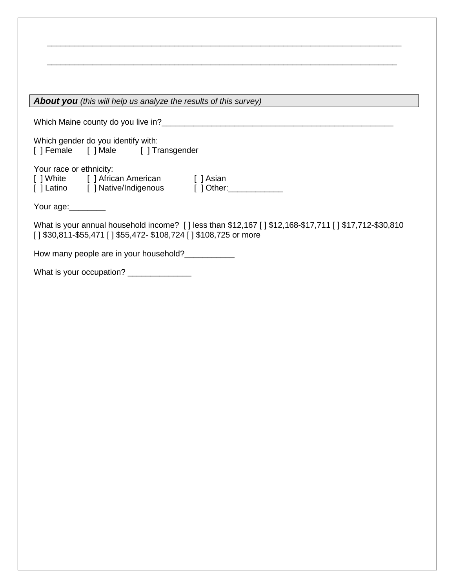| About you (this will help us analyze the results of this survey)                                                                                                          |
|---------------------------------------------------------------------------------------------------------------------------------------------------------------------------|
|                                                                                                                                                                           |
| Which gender do you identify with:<br>[] Female [] Male [] Transgender                                                                                                    |
| Your race or ethnicity:<br>[] White [] African American [] Asian<br>[ ] Latino [ ] Native/Indigenous [ ] Other: ___________                                               |
| Your age:                                                                                                                                                                 |
| What is your annual household income? [] less than \$12,167 [] \$12,168-\$17,711 [] \$17,712-\$30,810<br>[] \$30,811-\$55,471 [] \$55,472- \$108,724 [] \$108,725 or more |
| How many people are in your household?                                                                                                                                    |
| What is your occupation? _______________                                                                                                                                  |
|                                                                                                                                                                           |
|                                                                                                                                                                           |
|                                                                                                                                                                           |
|                                                                                                                                                                           |
|                                                                                                                                                                           |
|                                                                                                                                                                           |
|                                                                                                                                                                           |
|                                                                                                                                                                           |
|                                                                                                                                                                           |
|                                                                                                                                                                           |
|                                                                                                                                                                           |
|                                                                                                                                                                           |
|                                                                                                                                                                           |
|                                                                                                                                                                           |
|                                                                                                                                                                           |
|                                                                                                                                                                           |